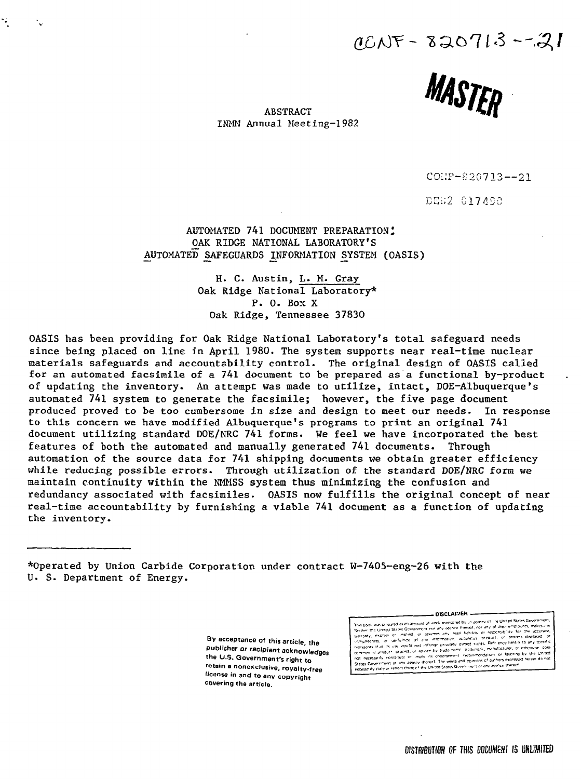$00NF - 820713 - 21$ 



ABSTRACT INMM Annual Meeting-1982

COI:F-820713--21

DE62 C17490

AUTOMATED 741 DOCUMENT PREPARATION: OAK RIDGE NATIONAL LABORATORY'S AUTOMATED SAFEGUARDS INFORMATION SYSTEM (OASIS)

> H. C. Austin, L. M. Gray Oak Ridge National Laboratory\* P. 0. Box X Oak Ridge, Tennessee 37830

OASIS has been providing for Oak Ridge National Laboratory's total safeguard needs since being placed on line in April 1980. The system supports near real-time nuclear materials safeguards and accountability control- The original design of OASIS called for an automated facsimile of a 741 document to be prepared as a functional by-product of updating the inventory. An attempt was made to utilize, intact, DOE-Albuquerque's automated 741 system to generate the facsimile; however, the five page document produced proved to be too cumbersome in size and design to meet our needs. In response to this concern we have modified Albuquerque's programs to print an original 741 document utilizing standard DOE/NRC 741 forms. We feel we have incorporated the best features of both the automated and manually generated 741 documents. Through automation of the source data for 741 shipping documents we obtain greater efficiency while reducing possible errors. Through utilization of the standard DOE/NRC form we maintain continuity within the NMMSS system thus minimizing the confusion and redundancy associated with facsimiles. OASIS now fulfills the original concept of near real-time accountability by furnishing a viable 741 document as a function of updating the inventory.

\*0perated by Union Carbide Corporation under contract W-7405-eng-26 with the U. S. Department of Energy.

> By acceptance of this article, the **publisher or recipient acknowledges the U.S. Government's right to retain a nonexclusive, royalty-free license in and to any copyright covering the article.**

c United States Gover -wme-i rec-^rr-ncn^a

DISCLAIMER -

DISTRIBUTION OF THIS DOCUMENT IS UNLIMITED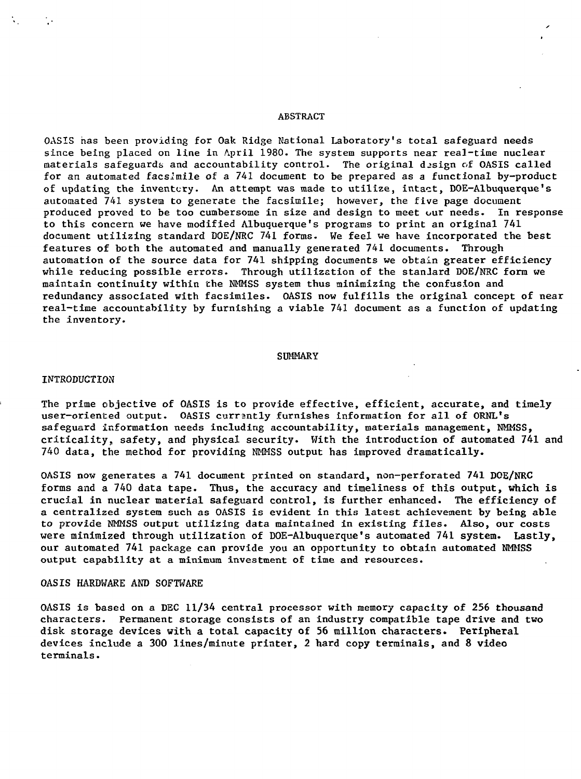#### ABSTRACT

OASIS has been providing for Oak Ridge National Laboratory's total safeguard needs since being placed on line in April 1980. The system supports near real-time nuclear materials safeguards and accountability control. The original design of OASIS called for an automated facsimile of a 741 document to be prepared as a functional by-product of updating the inventory. An attempt was made to utilize, intact, DOE-Albuquerque's automated 741 system to generate the facsimile; however, the five page document produced proved to be too cumbersome in size and design to meet our needs. In response to this concern we have modified Albuquerque's programs to print an original 741 document utilizing standard DOE/NRC 741 forms. We feel we have incorporated the best features of both the automated and manually generated 741 documents. Through automation of the source data for 741 shipping documents we obtain greater efficiency while reducing possible errors. Through utilization of the stanlard DOE/NRC form we maintain continuity within the NMMSS system thus minimizing the confusion and redundancy associated with facsimiles. OASIS now fulfills the original concept of near real-time accountability by furnishing a viable 741 document as a function of updating the inventory.

### **SUMMARY**

### INTRODUCTION

The prime objective of OASIS is to provide effective, efficient, accurate, and timely user-oriented output. OASIS currently furnishes information for all of ORNL's safeguard information needs including accountability, materials management, NMMSS, criticality, safety, and physical security. With the introduction of automated 741 and 740 data, the method for providing NMMSS output has improved dramatically.

OASIS now generates a 741 document printed on standard, non-perforated 741 DOE/NRC forms and a 740 data tape. Thus, the accuracy and timeliness of this output, which is crucial in nuclear material safeguard control, is further enhanced. The efficiency of a centralized system such as OASIS is evident in this latest achievement by being able to provide NMMSS output utilizing data maintained in existing files. Also, our costs were minimized through utilization of DOE-Albuquerque's automated 741 system. Lastly, our automated 741 package can provide you an opportunity to obtain automated NMMSS output capability at a minimum investment of time and resources.

## OASIS HARDWARE AND SOFTWARE

OASIS is based on a DEC 11/34 central processor with memory capacity of 256 thousand characters. Permanent storage consists of an industry compatible tape drive and two disk storage devices with a total capacity of 56 million characters. Peripheral devices include a 300 lines/minute printer, 2 hard copy terminals, and 8 video terminals.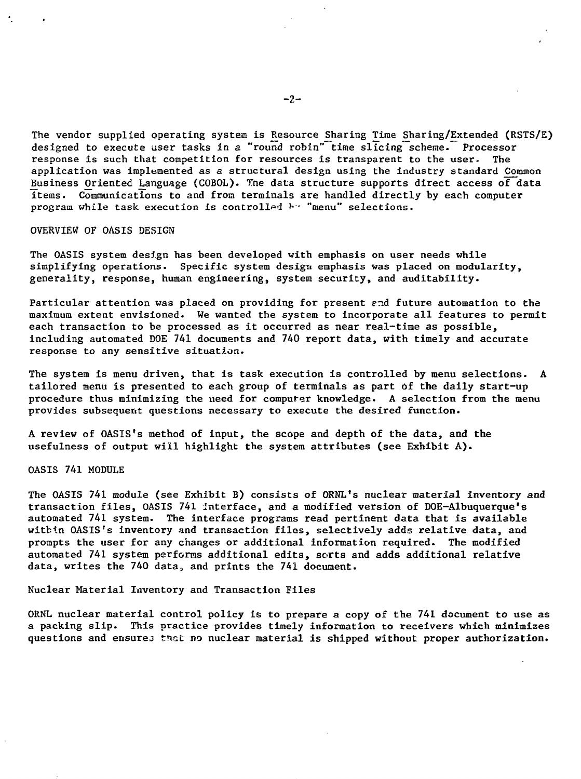The vendor supplied operating system is Resource Sharing Time Sharing/Extended (RSTS/E) designed to execute user tasks in a "round robin" time slicing scheme. Processor response is such that competition for resources is transparent to the user. The application was implemented as a structural design using the industry standard Common Business Oriented Language (COBOL). The data structure supports direct access of data items. Communications to and from terminals are handled directly by each computer program while task execution is controlled  $\mathbb{H}^n$  "menu" selections.

OVERVIEW OF OASIS DESIGN

The OASIS system design has been developed with emphasis on user needs while simplifying operations. Specific system design emphasis was placed on modularity, generality, response, human engineering, system security, and auditability.

Particular attention was placed on providing for present end future automation to the maximum extent envisioned. We wanted the system to incorporate all features to permit each transaction to be processed as it occurred as near real-time as possible, including automated DOE 741 documents and 740 report data, with timely and accurate response to any sensitive situation.

The system is menu driven, that is task execution is controlled by menu selections. A tailored menu is presented to each group of terminals as part of the daily start-up procedure thus minimizing the need for computer knowledge. A selection from the menu provides subsequent questions necessary to execute the desired function.

A review of OASIS's method of input, the scope and depth of the data, and the usefulness of output will highlight the system attributes (see Exhibit A) .

OASIS 741 MODULE

The OASIS 741 module (see Exhibit B) consists of ORNL's nuclear material inventory and transaction files, OASIS 741 interface, and a modified version of DOE-Albuquerque's automated 741 system. The interface programs read pertinent data that is available within OASIS's inventory and transaction files, selectively adds relative data, and prompts the user for any changes or additional information required. The modified automated 741 system performs additional edits, sorts and adds additional relative data, writes the 740 data, and prints the 741 document.

Nuclear Material Inventory and Transaction Files

ORNL nuclear material control policy is to prepare a copy of the 741 document to use as a packing slip. This practice provides timely information to receivers which minimizes questions and ensures that no nuclear material is shipped without proper authorization.

 $-2-$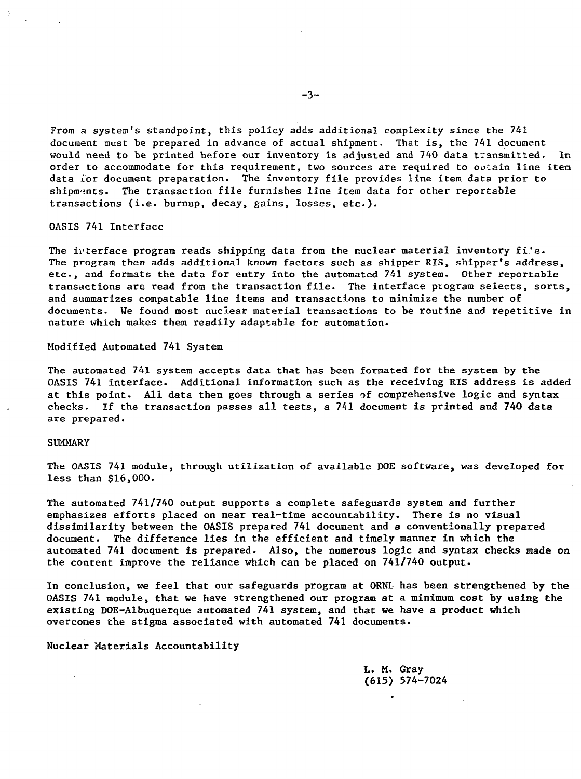From a system's standpoint, this policy adds additional complexity since the 741 document must be prepared in advance of actual shipment. That is, the 741 document would need to be printed before our inventory is adjusted and 740 data transmitted. In order to accommodate for this requirement, two sources are required to ooiain line item data for document preparation. The inventory file provides line item data prior to shipments. The transaction file furnishes line item data for other reportable transactions (i.e. burnup, decay, gains, losses, etc.).

OASIS 741 Interface

The interface program reads shipping data from the nuclear material inventory fi'e. The program then adds additional known factors such as shipper RIS, shipper's address, etc., and formats the data for entry into the automated 741 system. Other reportable transactions are read from the transaction file. The interface program selects, sorts, and summarizes compatable line items and transactions to minimize the number of documents. We found most nuclear material transactions to be routine and repetitive in nature which makes them readily adaptable for automation.

Modified Automated 741 System

The automated 741 system accepts data that has been formated for the system by the OASIS 741 interface. Additional information such as the receiving RIS address is added at this point. All data then goes through a series of comprehensive logic and syntax checks. If the transaction passes all tests, a 741 document is printed and 740 data are prepared.

## SUMMARY

The OASIS 741 module, through utilization of available DOE software, was developed for less than \$16,000.

The automated 741/740 output supports a complete safeguards system and further emphasizes efforts placed on near real-time accountability. There is no visual dissimilarity between the OASIS prepared 741 document and a conventionally prepared document. The difference lies in the efficient and timely manner in which the automated 741 document is prepared. Also, the numerous logic and syntax checks made on the content improve the reliance which can be placed on 741/740 output.

In conclusion, we feel that our safeguards program at ORNL has been strengthened by the OASIS 741 module, that we have strengthened our program at a minimum cost by using the existing DOE-Albuquerque automated 741 system, and that we have a product which overcomes the stigma associated with automated 741 documents.

Nuclear Materials Accountability

L. M. Gray (615) 574-7024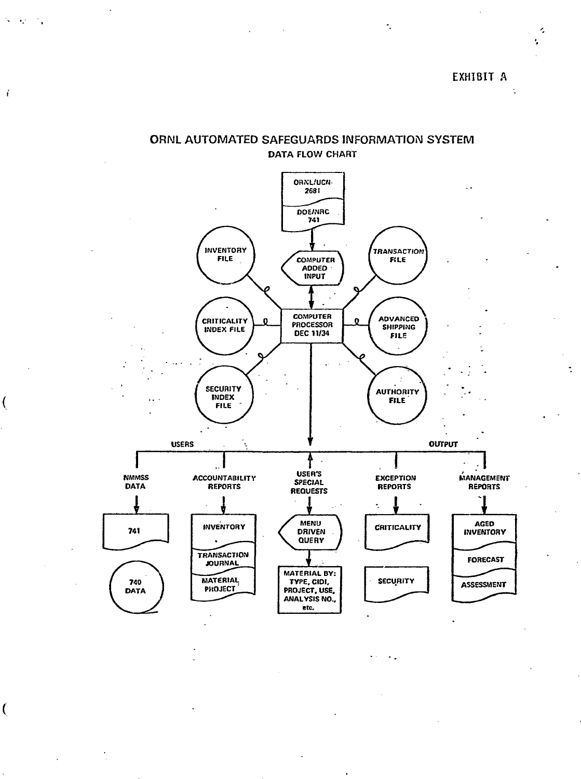$\ddot{\cdot}$ 

 $\lambda$ ÷,

# ORNL AUTOMATED SAFEGUARDS INFORMATION SYSTEM **DATA FLOW CHART**

f.

 $\overline{\mathcal{L}}$